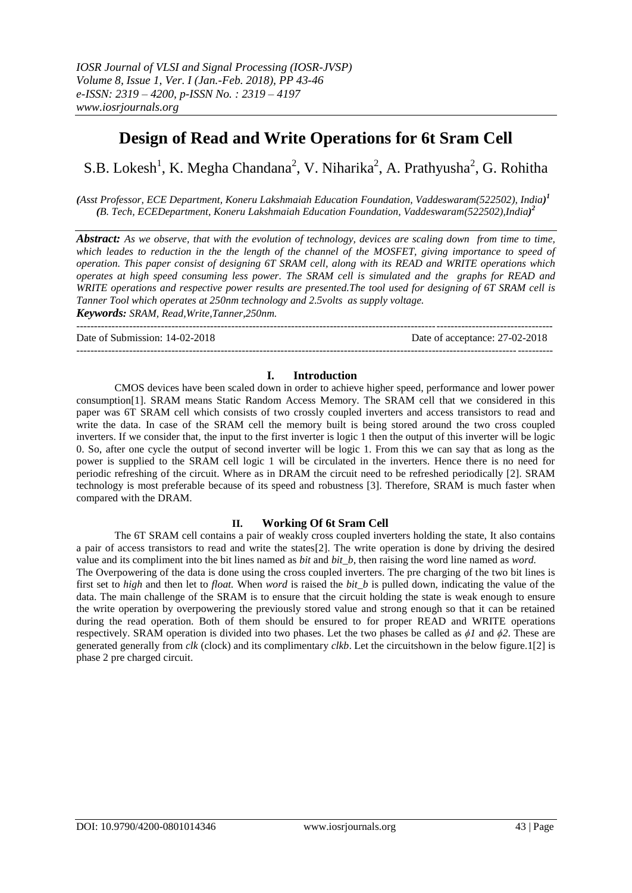# **Design of Read and Write Operations for 6t Sram Cell**

# S.B. Lokesh<sup>1</sup>, K. Megha Chandana<sup>2</sup>, V. Niharika<sup>2</sup>, A. Prathyusha<sup>2</sup>, G. Rohitha

*(Asst Professor, ECE Department, Koneru Lakshmaiah Education Foundation, Vaddeswaram(522502), India) 1 (B. Tech, ECEDepartment, Koneru Lakshmaiah Education Foundation, Vaddeswaram(522502),India) 2*

*Abstract: As we observe, that with the evolution of technology, devices are scaling down from time to time, which leades to reduction in the the length of the channel of the MOSFET, giving importance to speed of operation. This paper consist of designing 6T SRAM cell, along with its READ and WRITE operations which operates at high speed consuming less power. The SRAM cell is simulated and the graphs for READ and WRITE operations and respective power results are presented.The tool used for designing of 6T SRAM cell is Tanner Tool which operates at 250nm technology and 2.5volts as supply voltage.*

*Keywords: SRAM, Read,Write,Tanner,250nm.*

---------------------------------------------------------------------------------------------------------------------------------------

Date of Submission: 14-02-2018 Date of acceptance: 27-02-2018

### **I. Introduction**

---------------------------------------------------------------------------------------------------------------------------------------

CMOS devices have been scaled down in order to achieve higher speed, performance and lower power consumption[1]. SRAM means Static Random Access Memory. The SRAM cell that we considered in this paper was 6T SRAM cell which consists of two crossly coupled inverters and access transistors to read and write the data. In case of the SRAM cell the memory built is being stored around the two cross coupled inverters. If we consider that, the input to the first inverter is logic 1 then the output of this inverter will be logic 0. So, after one cycle the output of second inverter will be logic 1. From this we can say that as long as the power is supplied to the SRAM cell logic 1 will be circulated in the inverters. Hence there is no need for periodic refreshing of the circuit. Where as in DRAM the circuit need to be refreshed periodically [2]. SRAM technology is most preferable because of its speed and robustness [3]. Therefore, SRAM is much faster when compared with the DRAM.

# **II. Working Of 6t Sram Cell**

The 6T SRAM cell contains a pair of weakly cross coupled inverters holding the state, It also contains a pair of access transistors to read and write the states[2]. The write operation is done by driving the desired value and its compliment into the bit lines named as *bit* and *bit\_b*, then raising the word line named as *word.* The Overpowering of the data is done using the cross coupled inverters. The pre charging of the two bit lines is first set to *high* and then let to *float.* When *word* is raised the *bit\_b* is pulled down, indicating the value of the data. The main challenge of the SRAM is to ensure that the circuit holding the state is weak enough to ensure the write operation by overpowering the previously stored value and strong enough so that it can be retained during the read operation. Both of them should be ensured to for proper READ and WRITE operations respectively. SRAM operation is divided into two phases. Let the two phases be called as *ϕ1* and *ϕ2*. These are generated generally from *clk* (clock) and its complimentary *clkb*. Let the circuitshown in the below figure.1[2] is phase 2 pre charged circuit.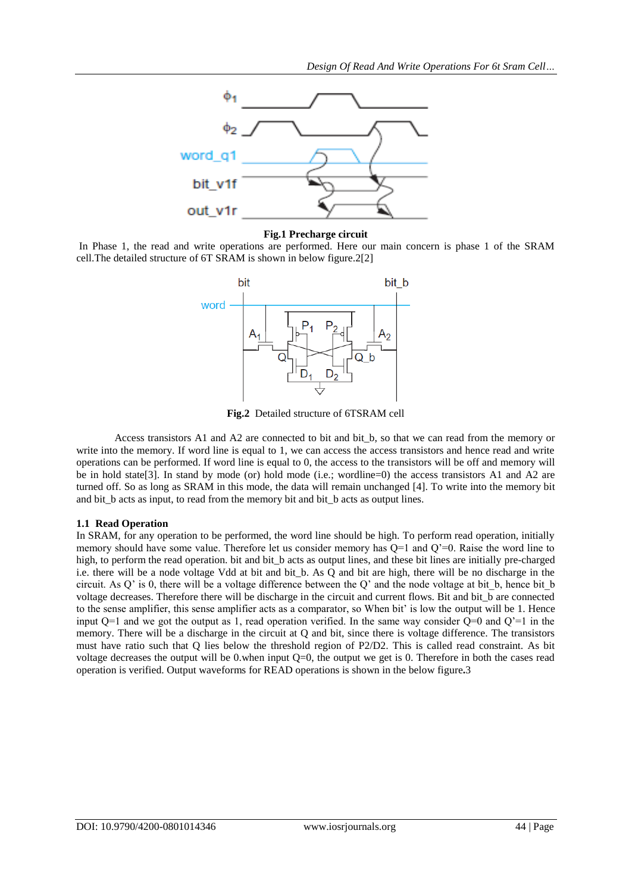

#### **Fig.1 Precharge circuit**

In Phase 1, the read and write operations are performed. Here our main concern is phase 1 of the SRAM cell.The detailed structure of 6T SRAM is shown in below figure.2[2]



**Fig.2** Detailed structure of 6TSRAM cell

Access transistors A1 and A2 are connected to bit and bit b, so that we can read from the memory or write into the memory. If word line is equal to 1, we can access the access transistors and hence read and write operations can be performed. If word line is equal to 0, the access to the transistors will be off and memory will be in hold state[3]. In stand by mode (or) hold mode (i.e.; wordline=0) the access transistors A1 and A2 are turned off. So as long as SRAM in this mode, the data will remain unchanged [4]. To write into the memory bit and bit\_b acts as input, to read from the memory bit and bit\_b acts as output lines.

#### **1.1 Read Operation**

In SRAM, for any operation to be performed, the word line should be high. To perform read operation, initially memory should have some value. Therefore let us consider memory has Q=1 and Q'=0. Raise the word line to high, to perform the read operation. bit and bit b acts as output lines, and these bit lines are initially pre-charged i.e. there will be a node voltage Vdd at bit and bit\_b. As Q and bit are high, there will be no discharge in the circuit. As Q' is 0, there will be a voltage difference between the Q' and the node voltage at bit\_b, hence bit\_b voltage decreases. Therefore there will be discharge in the circuit and current flows. Bit and bit\_b are connected to the sense amplifier, this sense amplifier acts as a comparator, so When bit' is low the output will be 1. Hence input  $Q=1$  and we got the output as 1, read operation verified. In the same way consider  $Q=0$  and  $Q'=1$  in the memory. There will be a discharge in the circuit at Q and bit, since there is voltage difference. The transistors must have ratio such that Q lies below the threshold region of P2/D2. This is called read constraint. As bit voltage decreases the output will be 0.when input  $Q=0$ , the output we get is 0. Therefore in both the cases read operation is verified. Output waveforms for READ operations is shown in the below figure**.**3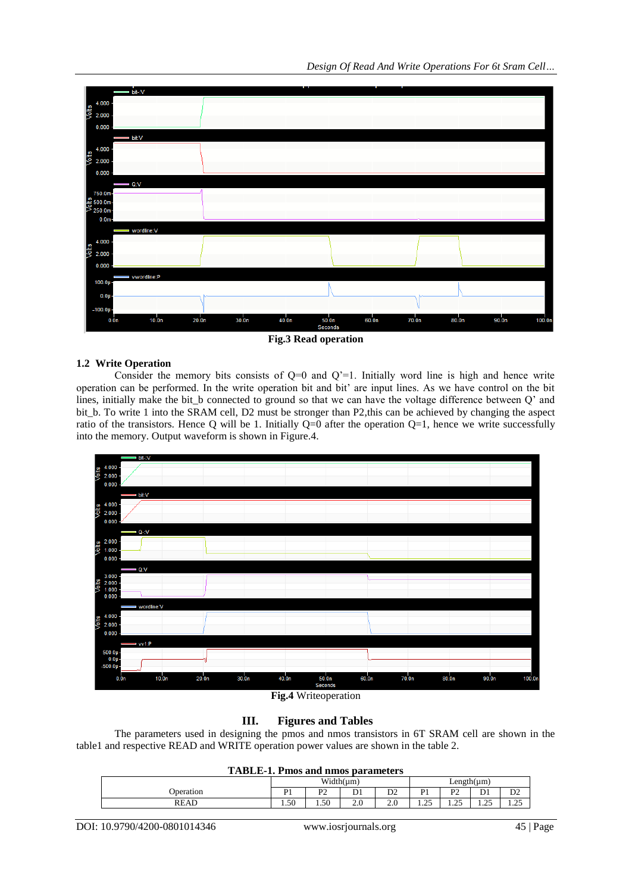

**Fig.3 Read operation**

# **1.2 Write Operation**

Consider the memory bits consists of  $Q=0$  and  $Q'=1$ . Initially word line is high and hence write operation can be performed. In the write operation bit and bit' are input lines. As we have control on the bit lines, initially make the bit\_b connected to ground so that we can have the voltage difference between Q' and bit\_b. To write 1 into the SRAM cell, D2 must be stronger than P2,this can be achieved by changing the aspect ratio of the transistors. Hence Q will be 1. Initially  $Q=0$  after the operation  $Q=1$ , hence we write successfully into the memory. Output waveform is shown in Figure.4.





# **III. Figures and Tables**

The parameters used in designing the pmos and nmos transistors in 6T SRAM cell are shown in the table1 and respective READ and WRITE operation power values are shown in the table 2.

|           | Width $(\mu m)$ |                       |                                |                | $Length( \mu m)$      |                             |                        |                        |
|-----------|-----------------|-----------------------|--------------------------------|----------------|-----------------------|-----------------------------|------------------------|------------------------|
| Operation | D <sub>1</sub>  | D <sub>1</sub><br>. . | $\mathbf{D}$ <sup>1</sup><br>້ | D <sub>2</sub> | D <sub>1</sub>        | D <sub>2</sub><br>. .       | $\sim$<br>↵            | ມ∠                     |
| READ      | 1.50            | 1.50                  | 2.0                            | $\angle$ .     | $\sim$ $\sim$<br>رے ک | $\Delta$ $\epsilon$<br>رے ک | $\cap \subset$<br>رے ک | $\sim$ $\sim$<br>ر ے د |

DOI: 10.9790/4200-0801014346 www.iosrjournals.org 45 | Page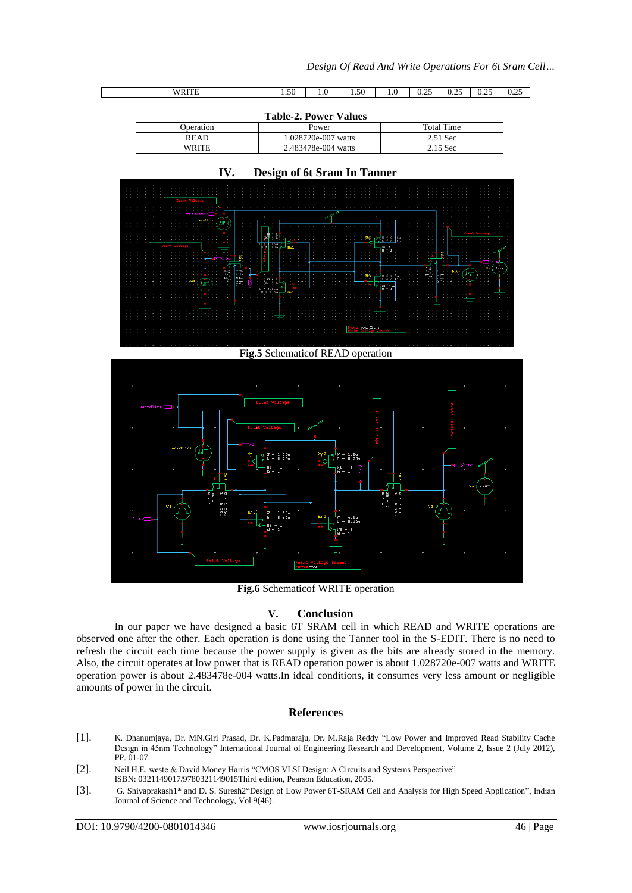| <b>WRITE</b><br>,,,,,, | $\sim$<br>אר<br>1.JU | . .<br>1.0 | $\sim$ $\sim$<br>50<br>$  -$ | $\cdot$ | $\Delta$ $\epsilon$<br>$\sim$<br>0.4J | . $\cap$ $\subset$<br>-<br>∪.∠J | $\Delta$<br>0.25 | $\sim$<br>$\sim$<br><u>v.</u><br>. |
|------------------------|----------------------|------------|------------------------------|---------|---------------------------------------|---------------------------------|------------------|------------------------------------|

| <b>Table-2. Power Values</b> |                     |            |  |  |  |
|------------------------------|---------------------|------------|--|--|--|
| Operation                    | Power               | Total Time |  |  |  |
| <b>READ</b>                  | 1.028720e-007 watts | 2.51 Sec   |  |  |  |
| WRITE                        | 2.483478e-004 watts | $2.15$ Sec |  |  |  |



**IV. Design of 6t Sram In Tanner**

**Fig.5** Schematicof READ operation



**Fig.6** Schematicof WRITE operation

# **V. Conclusion**

In our paper we have designed a basic 6T SRAM cell in which READ and WRITE operations are observed one after the other. Each operation is done using the Tanner tool in the S-EDIT. There is no need to refresh the circuit each time because the power supply is given as the bits are already stored in the memory. Also, the circuit operates at low power that is READ operation power is about 1.028720e-007 watts and WRITE operation power is about 2.483478e-004 watts.In ideal conditions, it consumes very less amount or negligible amounts of power in the circuit.

# **References**

- [1]. K. Dhanumjaya, Dr. MN.Giri Prasad, Dr. K.Padmaraju, Dr. M.Raja Reddy "Low Power and Improved Read Stability Cache Design in 45nm Technology" International Journal of Engineering Research and Development, Volume 2, Issue 2 (July 2012), PP. 01-07.
- [2]. Neil H.E. weste & David Money Harris "CMOS VLSI Design: A Circuits and Systems Perspective" ISBN: 0321149017/9780321149015Third edition, Pearson Education, 2005.
- [3]. G. Shivaprakash1\* and D. S. Suresh2"Design of Low Power 6T-SRAM Cell and Analysis for High Speed Application", Indian Journal of Science and Technology, Vol 9(46).